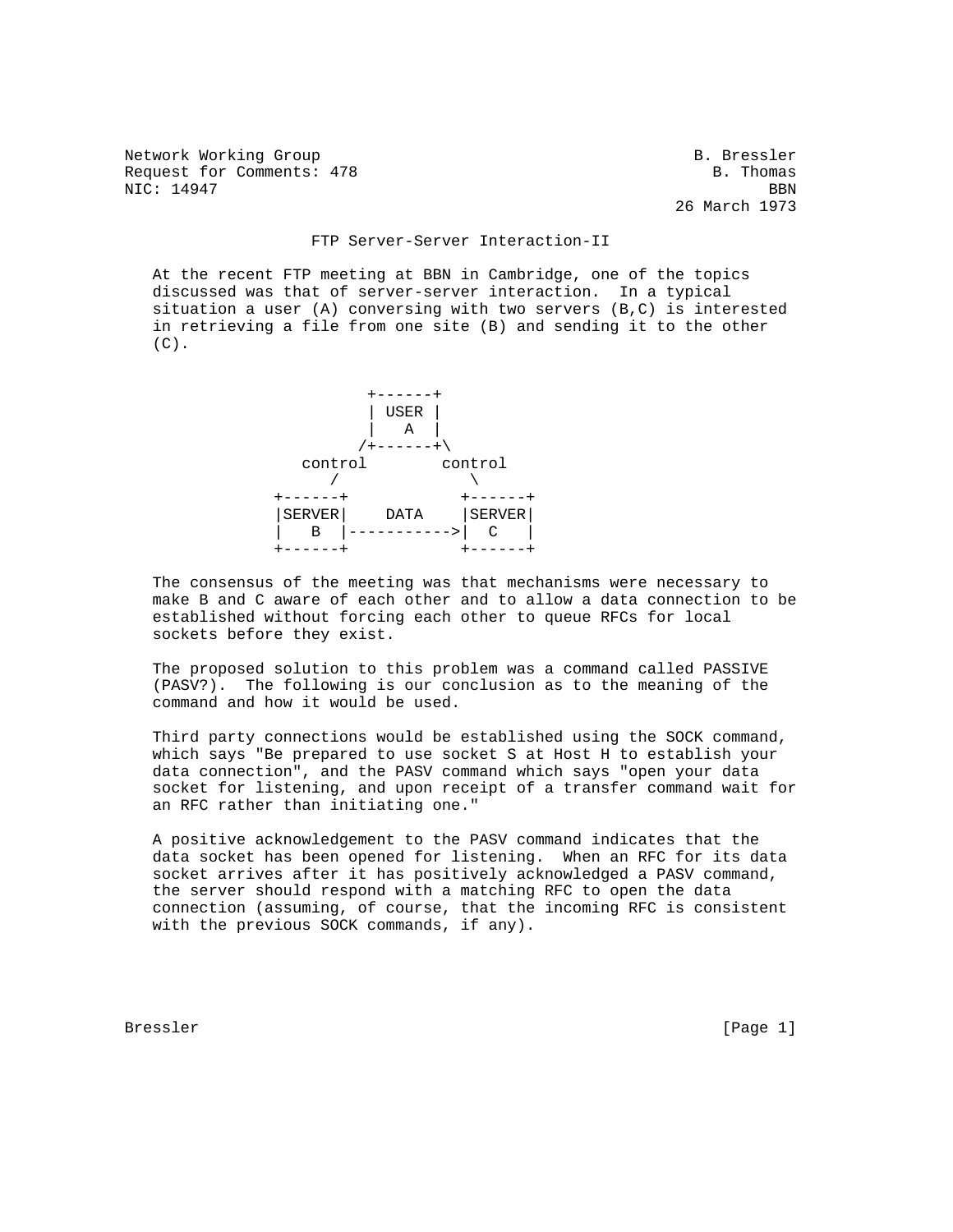Network Working Group and Section 1997 and Section 1997 and Section 1997 and Section 1997 and Section 1997 and S Request for Comments: 478 B. Thomas NIC: 14947 BBN

26 March 1973

## FTP Server-Server Interaction-II

 At the recent FTP meeting at BBN in Cambridge, one of the topics discussed was that of server-server interaction. In a typical situation a user (A) conversing with two servers (B,C) is interested in retrieving a file from one site (B) and sending it to the other  $(C)$ .



 The consensus of the meeting was that mechanisms were necessary to make B and C aware of each other and to allow a data connection to be established without forcing each other to queue RFCs for local sockets before they exist.

 The proposed solution to this problem was a command called PASSIVE (PASV?). The following is our conclusion as to the meaning of the command and how it would be used.

 Third party connections would be established using the SOCK command, which says "Be prepared to use socket S at Host H to establish your data connection", and the PASV command which says "open your data socket for listening, and upon receipt of a transfer command wait for an RFC rather than initiating one."

 A positive acknowledgement to the PASV command indicates that the data socket has been opened for listening. When an RFC for its data socket arrives after it has positively acknowledged a PASV command, the server should respond with a matching RFC to open the data connection (assuming, of course, that the incoming RFC is consistent with the previous SOCK commands, if any).

Bressler [Page 1] [Page 1] [Page 1] [Page 1] [Page 1]